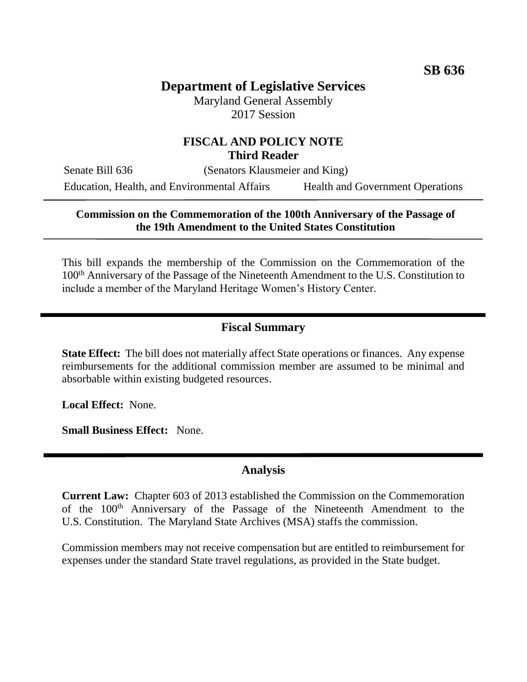# **Department of Legislative Services**

Maryland General Assembly 2017 Session

## **FISCAL AND POLICY NOTE Third Reader**

Senate Bill 636 (Senators Klausmeier and King)

Education, Health, and Environmental Affairs Health and Government Operations

#### **Commission on the Commemoration of the 100th Anniversary of the Passage of the 19th Amendment to the United States Constitution**

This bill expands the membership of the Commission on the Commemoration of the 100th Anniversary of the Passage of the Nineteenth Amendment to the U.S. Constitution to include a member of the Maryland Heritage Women's History Center.

#### **Fiscal Summary**

**State Effect:** The bill does not materially affect State operations or finances. Any expense reimbursements for the additional commission member are assumed to be minimal and absorbable within existing budgeted resources.

**Local Effect:** None.

**Small Business Effect:** None.

### **Analysis**

**Current Law:** Chapter 603 of 2013 established the Commission on the Commemoration of the 100<sup>th</sup> Anniversary of the Passage of the Nineteenth Amendment to the U.S. Constitution. The Maryland State Archives (MSA) staffs the commission.

Commission members may not receive compensation but are entitled to reimbursement for expenses under the standard State travel regulations, as provided in the State budget.